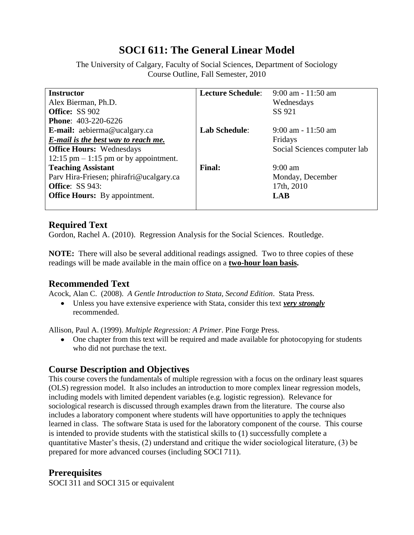# **SOCI 611: The General Linear Model**

The University of Calgary, Faculty of Social Sciences, Department of Sociology Course Outline, Fall Semester, 2010

| <b>Instructor</b>                        | <b>Lecture Schedule:</b> | $9:00$ am - 11:50 am         |
|------------------------------------------|--------------------------|------------------------------|
| Alex Bierman, Ph.D.                      |                          | Wednesdays                   |
| <b>Office: SS 902</b>                    |                          | SS 921                       |
| <b>Phone: 403-220-6226</b>               |                          |                              |
| <b>E-mail:</b> aebierma@ucalgary.ca      | <b>Lab Schedule:</b>     | $9:00$ am - 11:50 am         |
| E-mail is the best way to reach me.      |                          | Fridays                      |
| <b>Office Hours:</b> Wednesdays          |                          | Social Sciences computer lab |
| $12:15$ pm $-1:15$ pm or by appointment. |                          |                              |
| <b>Teaching Assistant</b>                | <b>Final:</b>            | $9:00 \text{ am}$            |
| Parv Hira-Friesen; phirafri@ucalgary.ca  |                          | Monday, December             |
| <b>Office: SS 943:</b>                   |                          | 17th, 2010                   |
| <b>Office Hours:</b> By appointment.     |                          | LAB                          |
|                                          |                          |                              |

#### **Required Text**

Gordon, Rachel A. (2010). Regression Analysis for the Social Sciences. Routledge.

**NOTE:** There will also be several additional readings assigned. Two to three copies of these readings will be made available in the main office on a **two-hour loan basis.**

### **Recommended Text**

Acock, Alan C. (2008). *A Gentle Introduction to Stata, Second Edition*. Stata Press.

Unless you have extensive experience with Stata, consider this text *very strongly* recommended.

Allison, Paul A. (1999). *Multiple Regression: A Primer*. Pine Forge Press.

• One chapter from this text will be required and made available for photocopying for students who did not purchase the text.

### **Course Description and Objectives**

This course covers the fundamentals of multiple regression with a focus on the ordinary least squares (OLS) regression model. It also includes an introduction to more complex linear regression models, including models with limited dependent variables (e.g. logistic regression). Relevance for sociological research is discussed through examples drawn from the literature. The course also includes a laboratory component where students will have opportunities to apply the techniques learned in class. The software Stata is used for the laboratory component of the course. This course is intended to provide students with the statistical skills to (1) successfully complete a quantitative Master's thesis, (2) understand and critique the wider sociological literature, (3) be prepared for more advanced courses (including SOCI 711).

### **Prerequisites**

SOCI 311 and SOCI 315 or equivalent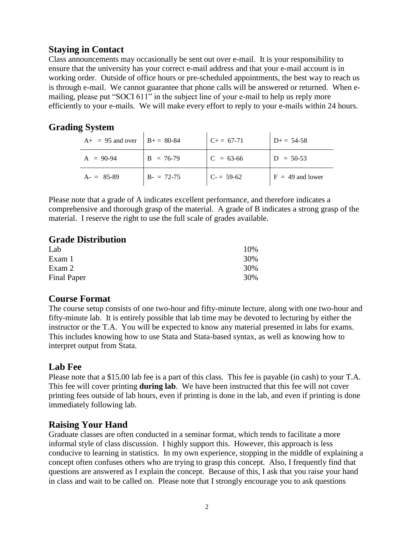## **Staying in Contact**

Class announcements may occasionally be sent out over e-mail. It is your responsibility to ensure that the university has your correct e-mail address and that your e-mail account is in working order. Outside of office hours or pre-scheduled appointments, the best way to reach us is through e-mail. We cannot guarantee that phone calls will be answered or returned. When emailing, please put "SOCI 611" in the subject line of your e-mail to help us reply more efficiently to your e-mails. We will make every effort to reply to your e-mails within 24 hours.

# **Grading System**

| $A_{+}$ = 95 and over | $B_{+} = 80-84$ | $C_{+} = 67-71$ | $D+=54-58$         |
|-----------------------|-----------------|-----------------|--------------------|
| $A = 90-94$           | $B = 76-79$     | $C = 63-66$     | $D = 50-53$        |
| $A = 85-89$           | $B = 72-75$     | $C = 59-62$     | $F = 49$ and lower |

Please note that a grade of A indicates excellent performance, and therefore indicates a comprehensive and thorough grasp of the material. A grade of B indicates a strong grasp of the material. I reserve the right to use the full scale of grades available.

#### **Grade Distribution**

| Lab                | 10% |
|--------------------|-----|
| Exam 1             | 30% |
| Exam 2             | 30% |
| <b>Final Paper</b> | 30% |

#### **Course Format**

The course setup consists of one two-hour and fifty-minute lecture, along with one two-hour and fifty-minute lab. It is entirely possible that lab time may be devoted to lecturing by either the instructor or the T.A. You will be expected to know any material presented in labs for exams. This includes knowing how to use Stata and Stata-based syntax, as well as knowing how to interpret output from Stata.

### **Lab Fee**

Please note that a \$15.00 lab fee is a part of this class. This fee is payable (in cash) to your T.A. This fee will cover printing **during lab**. We have been instructed that this fee will not cover printing fees outside of lab hours, even if printing is done in the lab, and even if printing is done immediately following lab.

### **Raising Your Hand**

Graduate classes are often conducted in a seminar format, which tends to facilitate a more informal style of class discussion. I highly support this. However, this approach is less conducive to learning in statistics. In my own experience, stopping in the middle of explaining a concept often confuses others who are trying to grasp this concept. Also, I frequently find that questions are answered as I explain the concept. Because of this, I ask that you raise your hand in class and wait to be called on. Please note that I strongly encourage you to ask questions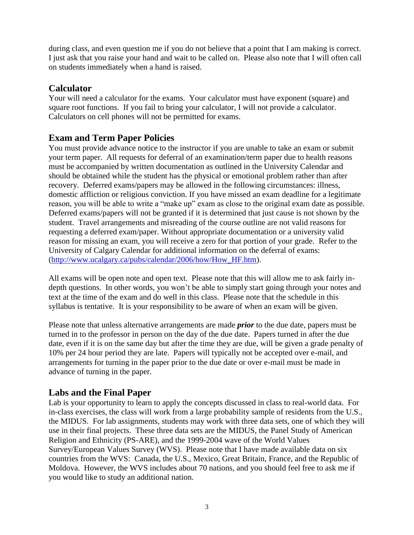during class, and even question me if you do not believe that a point that I am making is correct. I just ask that you raise your hand and wait to be called on. Please also note that I will often call on students immediately when a hand is raised.

### **Calculator**

Your will need a calculator for the exams. Your calculator must have exponent (square) and square root functions. If you fail to bring your calculator, I will not provide a calculator. Calculators on cell phones will not be permitted for exams.

# **Exam and Term Paper Policies**

You must provide advance notice to the instructor if you are unable to take an exam or submit your term paper. All requests for deferral of an examination/term paper due to health reasons must be accompanied by written documentation as outlined in the University Calendar and should be obtained while the student has the physical or emotional problem rather than after recovery. Deferred exams/papers may be allowed in the following circumstances: illness, domestic affliction or religious conviction. If you have missed an exam deadline for a legitimate reason, you will be able to write a "make up" exam as close to the original exam date as possible. Deferred exams/papers will not be granted if it is determined that just cause is not shown by the student. Travel arrangements and misreading of the course outline are not valid reasons for requesting a deferred exam/paper. Without appropriate documentation or a university valid reason for missing an exam, you will receive a zero for that portion of your grade. Refer to the University of Calgary Calendar for additional information on the deferral of exams: [\(http://www.ucalgary.ca/pubs/calendar/2006/how/How\\_HF.htm\)](http://www.ucalgary.ca/pubs/calendar/2006/how/How_HF.htm).

All exams will be open note and open text. Please note that this will allow me to ask fairly indepth questions. In other words, you won't be able to simply start going through your notes and text at the time of the exam and do well in this class. Please note that the schedule in this syllabus is tentative. It is your responsibility to be aware of when an exam will be given.

Please note that unless alternative arrangements are made *prior* to the due date, papers must be turned in to the professor in person on the day of the due date. Papers turned in after the due date, even if it is on the same day but after the time they are due, will be given a grade penalty of 10% per 24 hour period they are late. Papers will typically not be accepted over e-mail, and arrangements for turning in the paper prior to the due date or over e-mail must be made in advance of turning in the paper.

# **Labs and the Final Paper**

Lab is your opportunity to learn to apply the concepts discussed in class to real-world data. For in-class exercises, the class will work from a large probability sample of residents from the U.S., the MIDUS. For lab assignments, students may work with three data sets, one of which they will use in their final projects. These three data sets are the MIDUS, the Panel Study of American Religion and Ethnicity (PS-ARE), and the 1999-2004 wave of the World Values Survey/European Values Survey (WVS). Please note that I have made available data on six countries from the WVS: Canada, the U.S., Mexico, Great Britain, France, and the Republic of Moldova. However, the WVS includes about 70 nations, and you should feel free to ask me if you would like to study an additional nation.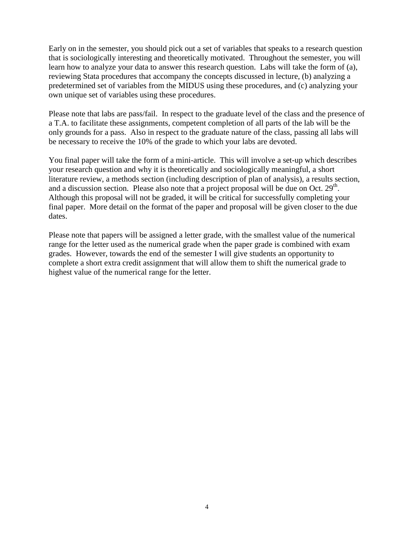Early on in the semester, you should pick out a set of variables that speaks to a research question that is sociologically interesting and theoretically motivated. Throughout the semester, you will learn how to analyze your data to answer this research question. Labs will take the form of (a), reviewing Stata procedures that accompany the concepts discussed in lecture, (b) analyzing a predetermined set of variables from the MIDUS using these procedures, and (c) analyzing your own unique set of variables using these procedures.

Please note that labs are pass/fail. In respect to the graduate level of the class and the presence of a T.A. to facilitate these assignments, competent completion of all parts of the lab will be the only grounds for a pass. Also in respect to the graduate nature of the class, passing all labs will be necessary to receive the 10% of the grade to which your labs are devoted.

You final paper will take the form of a mini-article. This will involve a set-up which describes your research question and why it is theoretically and sociologically meaningful, a short literature review, a methods section (including description of plan of analysis), a results section, and a discussion section. Please also note that a project proposal will be due on Oct.  $29<sup>th</sup>$ . Although this proposal will not be graded, it will be critical for successfully completing your final paper. More detail on the format of the paper and proposal will be given closer to the due dates.

Please note that papers will be assigned a letter grade, with the smallest value of the numerical range for the letter used as the numerical grade when the paper grade is combined with exam grades. However, towards the end of the semester I will give students an opportunity to complete a short extra credit assignment that will allow them to shift the numerical grade to highest value of the numerical range for the letter.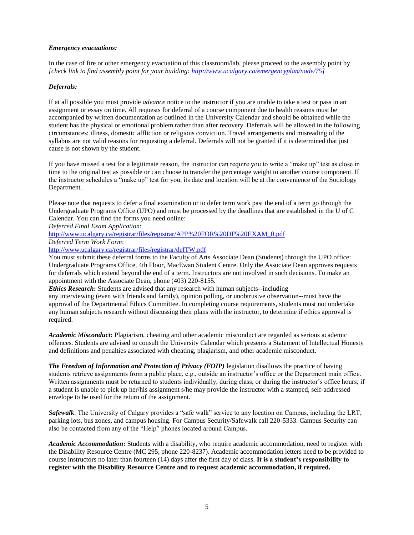#### *Emergency evacuations:*

In the case of fire or other emergency evacuation of this classroom/lab, please proceed to the assembly point by *[check link to find assembly point for your building: [http://www.ucalgary.ca/emergencyplan/node/75\]](http://www.ucalgary.ca/emergencyplan/node/75)*

#### *Deferrals:*

If at all possible you must provide *advance* notice to the instructor if you are unable to take a test or pass in an assignment or essay on time. All requests for deferral of a course component due to health reasons must be accompanied by written documentation as outlined in the University Calendar and should be obtained while the student has the physical or emotional problem rather than after recovery. Deferrals will be allowed in the following circumstances: illness, domestic affliction or religious conviction. Travel arrangements and misreading of the syllabus are not valid reasons for requesting a deferral. Deferrals will not be granted if it is determined that just cause is not shown by the student.

If you have missed a test for a legitimate reason, the instructor can require you to write a "make up" test as close in time to the original test as possible or can choose to transfer the percentage weight to another course component. If the instructor schedules a "make up" test for you, its date and location will be at the convenience of the Sociology Department.

Please note that requests to defer a final examination or to defer term work past the end of a term go through the Undergraduate Programs Office (UPO) and must be processed by the deadlines that are established in the U of C Calendar. You can find the forms you need online:

*Deferred Final Exam Application*:

[http://www.ucalgary.ca/registrar/files/registrar/APP%20FOR%20DF%20EXAM\\_0.pdf](http://www.ucalgary.ca/registrar/files/registrar/APP%20FOR%20DF%20EXAM_0.pdf)

*Deferred Term Work Form*:

<http://www.ucalgary.ca/registrar/files/registrar/defTW.pdf>

You must submit these deferral forms to the Faculty of Arts Associate Dean (Students) through the UPO office: Undergraduate Programs Office, 4th Floor, MacEwan Student Centre. Only the Associate Dean approves requests for deferrals which extend beyond the end of a term. Instructors are not involved in such decisions. To make an appointment with the Associate Dean, phone (403) 220-8155.

*Ethics Research***:** Students are advised that any research with human subjects--including any interviewing (even with friends and family), opinion polling, or unobtrusive observation--must have the approval of the Departmental Ethics Committee. In completing course requirements, students must not undertake any human subjects research without discussing their plans with the instructor, to determine if ethics approval is required.

*Academic Misconduct***:** Plagiarism, cheating and other academic misconduct are regarded as serious academic offences. Students are advised to consult the University Calendar which presents a Statement of Intellectual Honesty and definitions and penalties associated with cheating, plagiarism, and other academic misconduct.

*The Freedom of Information and Protection of Privacy (FOIP)* legislation disallows the practice of having students retrieve assignments from a public place, e.g., outside an instructor's office or the Department main office. Written assignments must be returned to students individually, during class, or during the instructor's office hours; if a student is unable to pick up her/his assignment s/he may provide the instructor with a stamped, self-addressed envelope to be used for the return of the assignment.

*Safewalk*: The University of Calgary provides a "safe walk" service to any location on Campus, including the LRT, parking lots, bus zones, and campus housing. For Campus Security/Safewalk call 220-5333. Campus Security can also be contacted from any of the "Help" phones located around Campus.

*Academic Accommodation***:** Students with a disability, who require academic accommodation, need to register with the Disability Resource Centre (MC 295, phone 220-8237). Academic accommodation letters need to be provided to course instructors no later than fourteen (14) days after the first day of class. **It is a student's responsibility to register with the Disability Resource Centre and to request academic accommodation, if required.**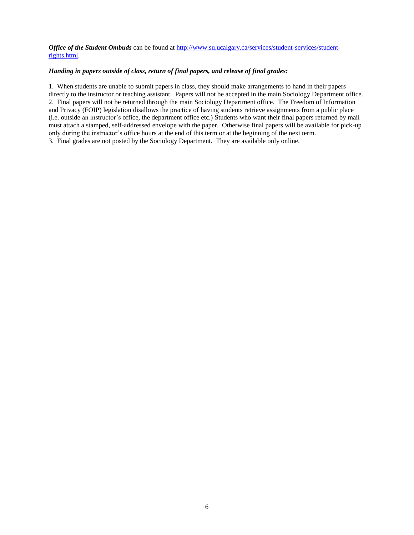*Office of the Student Ombuds* can be found at [http://www.su.ucalgary.ca/services/student-services/student](http://www.su.ucalgary.ca/services/student-services/student-rights.html)[rights.html.](http://www.su.ucalgary.ca/services/student-services/student-rights.html)

#### *Handing in papers outside of class, return of final papers, and release of final grades:*

1. When students are unable to submit papers in class, they should make arrangements to hand in their papers directly to the instructor or teaching assistant. Papers will not be accepted in the main Sociology Department office. 2. Final papers will not be returned through the main Sociology Department office. The Freedom of Information and Privacy (FOIP) legislation disallows the practice of having students retrieve assignments from a public place (i.e. outside an instructor's office, the department office etc.) Students who want their final papers returned by mail must attach a stamped, self-addressed envelope with the paper. Otherwise final papers will be available for pick-up only during the instructor's office hours at the end of this term or at the beginning of the next term. 3. Final grades are not posted by the Sociology Department. They are available only online.